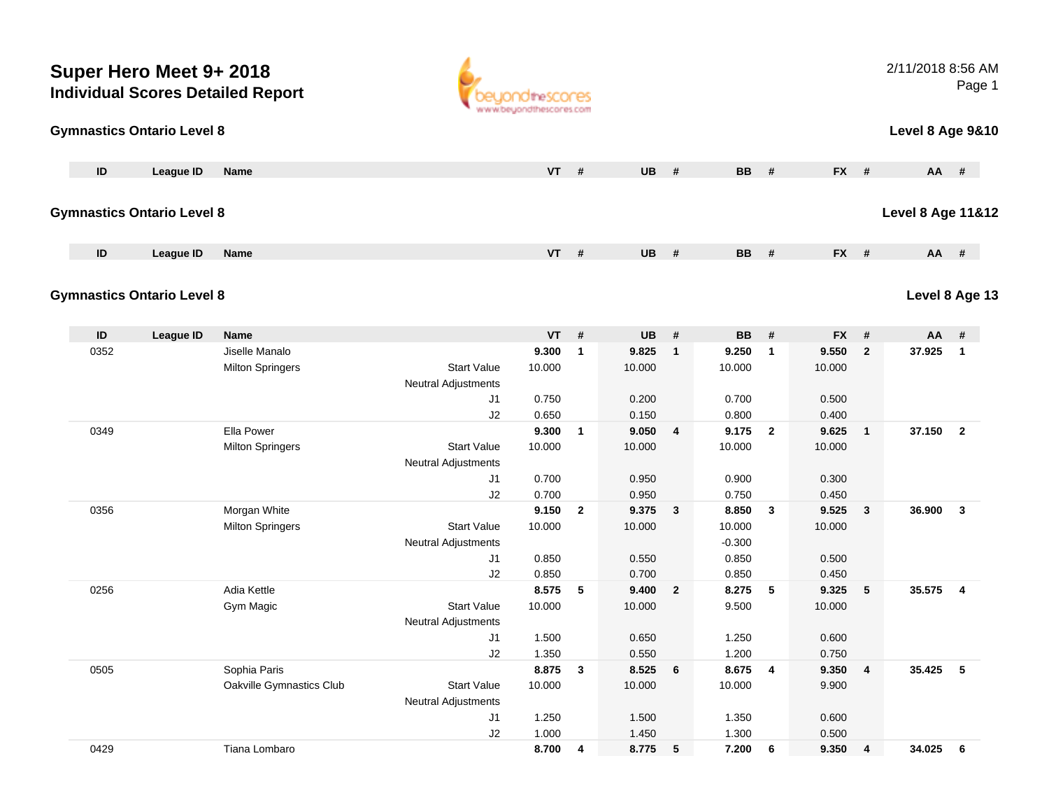|      | Super Hero Meet 9+ 2018           | <b>Individual Scores Detailed Report</b>  |                                                  | OtheSCOCES<br>ww.beyondthescores.com |                |                 |                         |                    |                |                 |                         | 2/11/2018 8:56 AM            | Page 1                  |  |
|------|-----------------------------------|-------------------------------------------|--------------------------------------------------|--------------------------------------|----------------|-----------------|-------------------------|--------------------|----------------|-----------------|-------------------------|------------------------------|-------------------------|--|
|      | <b>Gymnastics Ontario Level 8</b> |                                           |                                                  |                                      |                |                 |                         |                    |                |                 |                         | <b>Level 8 Age 9&amp;10</b>  |                         |  |
| ID   | League ID                         | Name                                      |                                                  | VT                                   | #              | <b>UB</b>       | #                       | <b>BB</b>          | #              | FX #            |                         | AA #                         |                         |  |
|      | <b>Gymnastics Ontario Level 8</b> |                                           |                                                  |                                      |                |                 |                         |                    |                |                 |                         | <b>Level 8 Age 11&amp;12</b> |                         |  |
| ID   | <b>League ID</b>                  | <b>Name</b>                               |                                                  | $VT$ #                               |                | UB              | #                       | <b>BB</b>          | #              | FX #            |                         | AA #                         |                         |  |
|      | <b>Gymnastics Ontario Level 8</b> |                                           |                                                  |                                      |                |                 |                         |                    |                |                 |                         | Level 8 Age 13               |                         |  |
| ID   | <b>League ID</b>                  | <b>Name</b>                               |                                                  | <b>VT</b>                            | #              | UB              | #                       | <b>BB</b>          | #              | <b>FX</b>       | #                       | AA                           | #                       |  |
| 0352 |                                   | Jiselle Manalo<br><b>Milton Springers</b> | <b>Start Value</b><br>Neutral Adjustments        | 9.300<br>10.000                      | $\mathbf{1}$   | 9.825<br>10.000 | $\mathbf{1}$            | 9.250<br>10.000    | $\mathbf{1}$   | 9.550<br>10.000 | $\mathbf{2}$            | 37.925                       | $\overline{\mathbf{1}}$ |  |
|      |                                   |                                           | J1                                               | 0.750                                |                | 0.200           |                         | 0.700              |                | 0.500           |                         |                              |                         |  |
| 0349 |                                   | Ella Power                                | J2                                               | 0.650<br>9.300                       | $\mathbf{1}$   | 0.150<br>9.050  | $\overline{\mathbf{4}}$ | 0.800<br>9.175     | $\overline{2}$ | 0.400<br>9.625  | $\mathbf{1}$            | 37.150                       | $\overline{2}$          |  |
|      |                                   | <b>Milton Springers</b>                   | <b>Start Value</b><br><b>Neutral Adjustments</b> | 10.000                               |                | 10.000          |                         | 10.000             |                | 10.000          |                         |                              |                         |  |
|      |                                   |                                           | J1                                               | 0.700                                |                | 0.950           |                         | 0.900              |                | 0.300           |                         |                              |                         |  |
| 0356 |                                   | Morgan White                              | J2                                               | 0.700<br>9.150                       | $\overline{2}$ | 0.950<br>9.375  | 3                       | 0.750<br>8.850     | 3              | 0.450<br>9.525  | 3                       | 36.900                       | $\mathbf{3}$            |  |
|      |                                   | <b>Milton Springers</b>                   | <b>Start Value</b><br>Neutral Adjustments        | 10.000                               |                | 10.000          |                         | 10.000<br>$-0.300$ |                | 10.000          |                         |                              |                         |  |
|      |                                   |                                           | J1                                               | 0.850                                |                | 0.550           |                         | 0.850              |                | 0.500           |                         |                              |                         |  |
|      |                                   | Adia Kettle                               | J <sub>2</sub>                                   | 0.850                                |                | 0.700           |                         | 0.850              |                | 0.450           |                         |                              |                         |  |
| 0256 |                                   | Gym Magic                                 | <b>Start Value</b><br>Neutral Adjustments        | 8.575<br>10.000                      | 5              | 9.400<br>10.000 | $\mathbf{2}$            | 8.275<br>9.500     | 5              | 9.325<br>10.000 | 5                       | 35.575                       | $\overline{4}$          |  |
|      |                                   |                                           | J1                                               | 1.500                                |                | 0.650           |                         | 1.250              |                | 0.600           |                         |                              |                         |  |
|      |                                   |                                           | J2                                               | 1.350                                |                | 0.550           |                         | 1.200              |                | 0.750           |                         |                              |                         |  |
| 0505 |                                   | Sophia Paris<br>Oakville Gymnastics Club  | <b>Start Value</b><br>Neutral Adjustments        | 8.875<br>10.000                      | $\mathbf{3}$   | 8.525<br>10.000 | $6\phantom{1}6$         | 8.675<br>10.000    | 4              | 9.350<br>9.900  | 4                       | 35.425 5                     |                         |  |
|      |                                   |                                           | J1                                               | 1.250                                |                | 1.500           |                         | 1.350              |                | 0.600           |                         |                              |                         |  |
|      |                                   |                                           | J2                                               | 1.000                                |                | 1.450           |                         | 1.300              |                | 0.500           |                         |                              |                         |  |
| 0429 |                                   | Tiana Lombaro                             |                                                  | 8.700                                | 4              | 8.775           | ${\bf 5}$               | 7.200              | 6              | 9.350           | $\overline{\mathbf{4}}$ | 34.025                       | 6                       |  |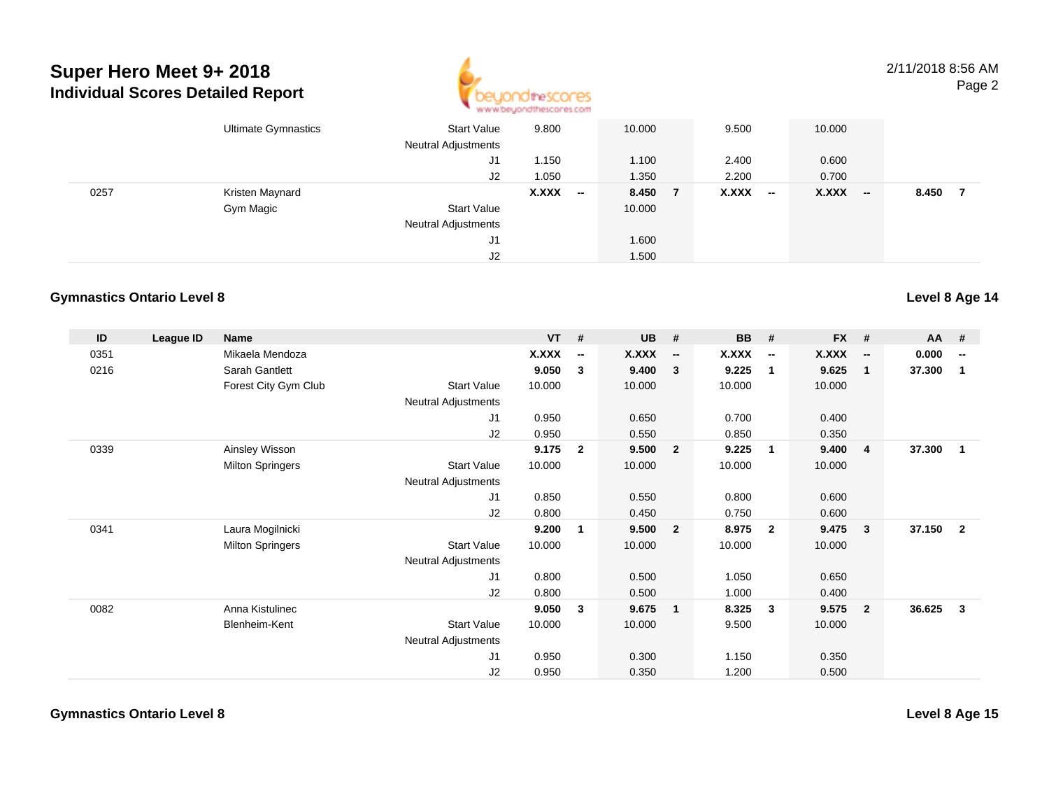## **Super Hero Meet 9+ 2018Individual Scores Detailed Report**



2/11/2018 8:56 AMPage 2

|      | <b>Ultimate Gymnastics</b> | <b>Start Value</b><br><b>Neutral Adjustments</b> | 9.800                             | 10.000 | 9.500           | 10.000    |              |
|------|----------------------------|--------------------------------------------------|-----------------------------------|--------|-----------------|-----------|--------------|
|      |                            | J1                                               | 1.150                             | 1.100  | 2.400           | 0.600     |              |
|      |                            | J2                                               | 1.050                             | 1.350  | 2.200           | 0.700     |              |
| 0257 | Kristen Maynard            |                                                  | X.XXX<br>$\overline{\phantom{a}}$ | 8.450  | X.XXX<br>$\sim$ | $X.XXX$ - | 8.450<br>- 7 |
|      | Gym Magic                  | <b>Start Value</b>                               |                                   | 10.000 |                 |           |              |
|      |                            | <b>Neutral Adjustments</b>                       |                                   |        |                 |           |              |
|      |                            | J1                                               |                                   | 1.600  |                 |           |              |
|      |                            | J <sub>2</sub>                                   |                                   | 1.500  |                 |           |              |

## **Gymnastics Ontario Level 8**

| ID   | League ID | <b>Name</b>             |                            | $VT$ # |                          | <b>UB</b>    | #                        | <b>BB</b> | #                        | <b>FX</b> | #                        | <b>AA</b> | #                        |
|------|-----------|-------------------------|----------------------------|--------|--------------------------|--------------|--------------------------|-----------|--------------------------|-----------|--------------------------|-----------|--------------------------|
| 0351 |           | Mikaela Mendoza         |                            | X.XXX  | $\overline{\phantom{a}}$ | <b>X.XXX</b> | $\overline{\phantom{a}}$ | X.XXX     | $\overline{\phantom{a}}$ | X.XXX     | $\overline{\phantom{a}}$ | 0.000     | $\overline{\phantom{a}}$ |
| 0216 |           | Sarah Gantlett          |                            | 9.050  | 3                        | 9.400        | 3                        | 9.225     | $\overline{1}$           | 9.625     | $\mathbf{1}$             | 37.300    | -1                       |
|      |           | Forest City Gym Club    | <b>Start Value</b>         | 10.000 |                          | 10.000       |                          | 10.000    |                          | 10.000    |                          |           |                          |
|      |           |                         | <b>Neutral Adjustments</b> |        |                          |              |                          |           |                          |           |                          |           |                          |
|      |           |                         | J1                         | 0.950  |                          | 0.650        |                          | 0.700     |                          | 0.400     |                          |           |                          |
|      |           |                         | J2                         | 0.950  |                          | 0.550        |                          | 0.850     |                          | 0.350     |                          |           |                          |
| 0339 |           | Ainsley Wisson          |                            | 9.175  | $\mathbf{2}$             | 9.500        | $\overline{2}$           | 9.225     | $\overline{\mathbf{1}}$  | 9.400     | -4                       | 37.300    | $\mathbf 1$              |
|      |           | <b>Milton Springers</b> | <b>Start Value</b>         | 10.000 |                          | 10.000       |                          | 10.000    |                          | 10.000    |                          |           |                          |
|      |           |                         | Neutral Adjustments        |        |                          |              |                          |           |                          |           |                          |           |                          |
|      |           |                         | J1                         | 0.850  |                          | 0.550        |                          | 0.800     |                          | 0.600     |                          |           |                          |
|      |           |                         | J2                         | 0.800  |                          | 0.450        |                          | 0.750     |                          | 0.600     |                          |           |                          |
| 0341 |           | Laura Mogilnicki        |                            | 9.200  | 1                        | 9.500        | $\overline{2}$           | 8.975     | $\overline{2}$           | 9.475     | $\overline{\mathbf{3}}$  | 37.150    | $\overline{2}$           |
|      |           | <b>Milton Springers</b> | <b>Start Value</b>         | 10.000 |                          | 10.000       |                          | 10.000    |                          | 10.000    |                          |           |                          |
|      |           |                         | Neutral Adjustments        |        |                          |              |                          |           |                          |           |                          |           |                          |
|      |           |                         | J <sub>1</sub>             | 0.800  |                          | 0.500        |                          | 1.050     |                          | 0.650     |                          |           |                          |
|      |           |                         | J2                         | 0.800  |                          | 0.500        |                          | 1.000     |                          | 0.400     |                          |           |                          |
| 0082 |           | Anna Kistulinec         |                            | 9.050  | 3                        | 9.675        | $\mathbf{1}$             | 8.325     | $\mathbf{3}$             | 9.575     | $\overline{\mathbf{2}}$  | 36.625    | 3                        |
|      |           | Blenheim-Kent           | <b>Start Value</b>         | 10.000 |                          | 10.000       |                          | 9.500     |                          | 10.000    |                          |           |                          |
|      |           |                         | <b>Neutral Adjustments</b> |        |                          |              |                          |           |                          |           |                          |           |                          |
|      |           |                         | J1                         | 0.950  |                          | 0.300        |                          | 1.150     |                          | 0.350     |                          |           |                          |
|      |           |                         | J2                         | 0.950  |                          | 0.350        |                          | 1.200     |                          | 0.500     |                          |           |                          |

**Level 8 Age 15**

**Level 8 Age 14**